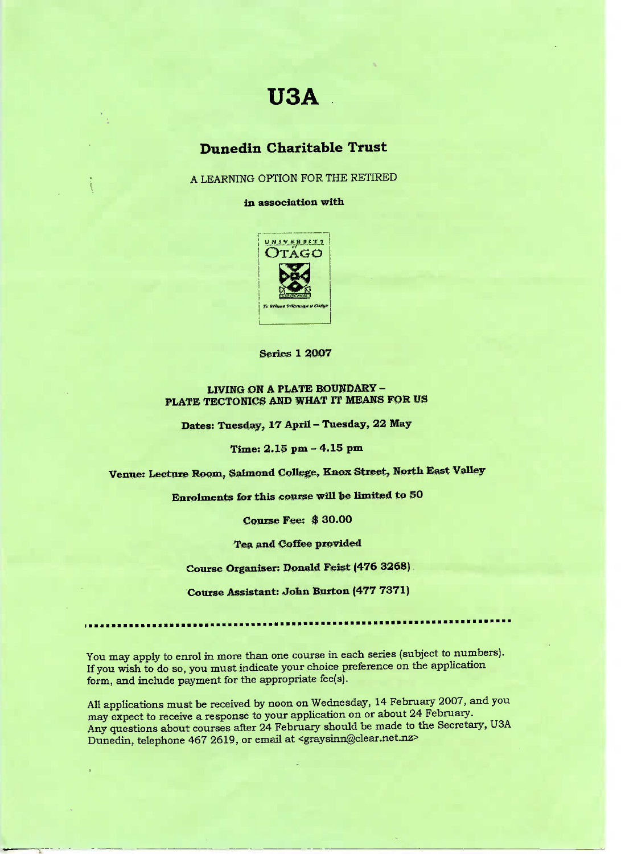# **USA**

# **Dunedin Charitable Trust**

A LEARNING OPTION FOR THE RETIRED

**in association with**



**Series 1 2OO7**

#### **LIVING ON A PLATE BOUNDARY - PLATE TECTONICS AND WHAT IT MEANS FOR US**

**Dates: Tuesday, 17 April - Tuesday, 22 May**

**Time: 2.15 pm - 4.15 pm**

**Venue: Lecture Room, Salmond College, Knox Street, North East Valley**

**Enrolments for this course will be limited to 50**

**Course Fee; \$ 30.00**

**Tea and Coffee provided**

**Course Organiser; Donald Feist (476 3268)**

**Course Assistant: John Burton (477 7371)**

You may apply to enrol in more than one course in each series (subject to numbers). If you wish to do so, you must indicate your choice preference on the application form, and include payment for the appropriate fee(s).

All applications must be received by noon on Wednesday, 14 February 2007, and you may expect to receive a response to your application on or about 24 February. Any questions about courses after 24 February should be made to the Secretary, USA Dunedin, telephone 467 2619, or email at <graysinn@clear.net.nz>